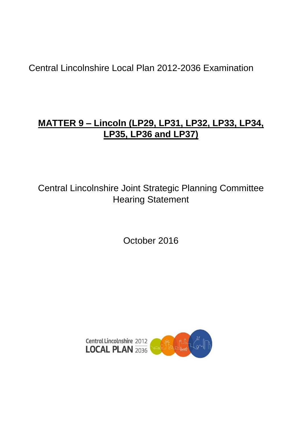Central Lincolnshire Local Plan 2012-2036 Examination

# **MATTER 9 – Lincoln (LP29, LP31, LP32, LP33, LP34, LP35, LP36 and LP37)**

Central Lincolnshire Joint Strategic Planning Committee Hearing Statement

October 2016

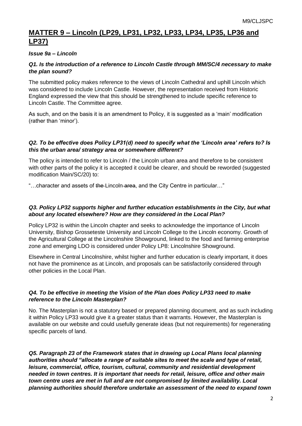# **MATTER 9 – Lincoln (LP29, LP31, LP32, LP33, LP34, LP35, LP36 and LP37)**

## *Issue 9a – Lincoln*

#### *Q1. Is the introduction of a reference to Lincoln Castle through MM/SC/4 necessary to make the plan sound?*

The submitted policy makes reference to the views of Lincoln Cathedral and uphill Lincoln which was considered to include Lincoln Castle. However, the representation received from Historic England expressed the view that this should be strengthened to include specific reference to Lincoln Castle. The Committee agree.

As such, and on the basis it is an amendment to Policy, it is suggested as a 'main' modification (rather than 'minor').

#### *Q2. To be effective does Policy LP31(d) need to specify what the 'Lincoln area' refers to? Is this the urban area/ strategy area or somewhere different?*

The policy is intended to refer to Lincoln / the Lincoln urban area and therefore to be consistent with other parts of the policy it is accepted it could be clearer, and should be reworded (suggested modification Main/SC/20) to:

"…character and assets of the Lincoln area, and the City Centre in particular…"

#### *Q3. Policy LP32 supports higher and further education establishments in the City, but what about any located elsewhere? How are they considered in the Local Plan?*

Policy LP32 is within the Lincoln chapter and seeks to acknowledge the importance of Lincoln University, Bishop Grosseteste University and Lincoln College to the Lincoln economy. Growth of the Agricultural College at the Lincolnshire Showground, linked to the food and farming enterprise zone and emerging LDO is considered under Policy LP8: Lincolnshire Showground.

Elsewhere in Central Lincolnshire, whilst higher and further education is clearly important, it does not have the prominence as at Lincoln, and proposals can be satisfactorily considered through other policies in the Local Plan.

#### *Q4. To be effective in meeting the Vision of the Plan does Policy LP33 need to make reference to the Lincoln Masterplan?*

No. The Masterplan is not a statutory based or prepared planning document, and as such including it within Policy LP33 would give it a greater status than it warrants. However, the Masterplan is available on our website and could usefully generate ideas (but not requirements) for regenerating specific parcels of land.

*Q5. Paragraph 23 of the Framework states that in drawing up Local Plans local planning authorities should "allocate a range of suitable sites to meet the scale and type of retail, leisure, commercial, office, tourism, cultural, community and residential development needed in town centres. It is important that needs for retail, leisure, office and other main town centre uses are met in full and are not compromised by limited availability. Local planning authorities should therefore undertake an assessment of the need to expand town*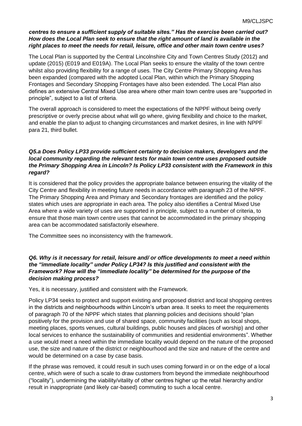# *centres to ensure a sufficient supply of suitable sites." Has the exercise been carried out? How does the Local Plan seek to ensure that the right amount of land is available in the right places to meet the needs for retail, leisure, office and other main town centre uses?*

The Local Plan is supported by the Central Lincolnshire City and Town Centres Study (2012) and update (2015) (E019 and E019A). The Local Plan seeks to ensure the vitality of the town centre whilst also providing flexibility for a range of uses. The City Centre Primary Shopping Area has been expanded (compared with the adopted Local Plan, within which the Primary Shopping Frontages and Secondary Shopping Frontages have also been extended. The Local Plan also defines an extensive Central Mixed Use area where other main town centre uses are "supported in principle", subject to a list of criteria.

The overall approach is considered to meet the expectations of the NPPF without being overly prescriptive or overly precise about what will go where, giving flexibility and choice to the market, and enable the plan to adjust to changing circumstances and market desires, in line with NPPF para 21, third bullet.

# *Q5.a Does Policy LP33 provide sufficient certainty to decision makers, developers and the local community regarding the relevant tests for main town centre uses proposed outside the Primary Shopping Area in Lincoln? Is Policy LP33 consistent with the Framework in this regard?*

It is considered that the policy provides the appropriate balance between ensuring the vitality of the City Centre and flexibility in meeting future needs in accordance with paragraph 23 of the NPPF. The Primary Shopping Area and Primary and Secondary frontages are identified and the policy states which uses are appropriate in each area. The policy also identifies a Central Mixed Use Area where a wide variety of uses are supported in principle, subject to a number of criteria, to ensure that those main town centre uses that cannot be accommodated in the primary shopping area can be accommodated satisfactorily elsewhere.

The Committee sees no inconsistency with the framework.

#### *Q6. Why is it necessary for retail, leisure and/ or office developments to meet a need within the "immediate locality" under Policy LP34? Is this justified and consistent with the Framework? How will the "immediate locality" be determined for the purpose of the decision making process?*

Yes, it is necessary, justified and consistent with the Framework.

Policy LP34 seeks to protect and support existing and proposed district and local shopping centres in the districts and neighbourhoods within Lincoln's urban area. It seeks to meet the requirements of paragraph 70 of the NPPF which states that planning policies and decisions should "plan positively for the provision and use of shared space, community facilities (such as local shops, meeting places, sports venues, cultural buildings, public houses and places of worship) and other local services to enhance the sustainability of communities and residential environments". Whether a use would meet a need within the immediate locality would depend on the nature of the proposed use, the size and nature of the district or neighbourhood and the size and nature of the centre and would be determined on a case by case basis.

If the phrase was removed, it could result in such uses coming forward in or on the edge of a local centre, which were of such a scale to draw customers from beyond the immediate neighbourhood ("locality"), undermining the viability/vitality of other centres higher up the retail hierarchy and/or result in inappropriate (and likely car-based) commuting to such a local centre.